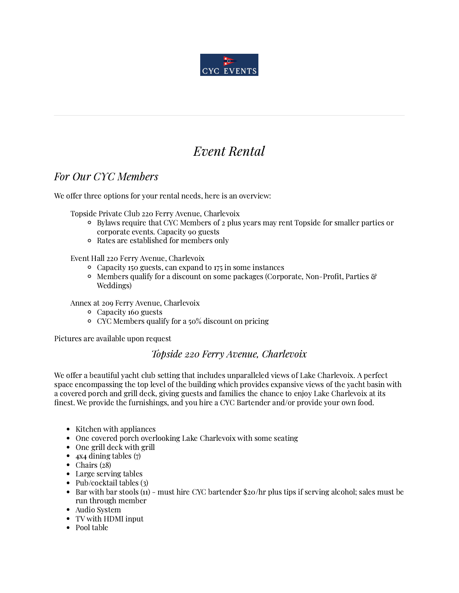

# Event Rental

# For Our CYC Members

We offer three options for your rental needs, here is an overview:

Topside Private Club 220 Ferry Avenue, Charlevoix

- Bylaws require that CYC Members of 2 plus years may rent Topside for smaller parties or corporate events. Capacity 90 guests
- Rates are established for members only

Event Hall 220 Ferry Avenue, Charlevoix

- Capacity 150 guests, can expand to 175 in some instances
- $\circ$  Members qualify for a discount on some packages (Corporate, Non-Profit, Parties  $\mathcal{C}$ Weddings)

Annex at 209 Ferry Avenue, Charlevoix

- Capacity 160 guests
- CYC Members qualify for a 50% discount on pricing

Pictures are available upon request

#### Topside 220 Ferry Avenue, Charlevoix

We offer a beautiful yacht club setting that includes unparalleled views of Lake Charlevoix. A perfect space encompassing the top level of the building which provides expansive views of the yacht basin with a covered porch and grill deck, giving guests and families the chance to enjoy Lake Charlevoix at its finest. We provide the furnishings, and you hire a CYC Bartender and/or provide your own food.

- Kitchen with appliances
- One covered porch overlooking Lake Charlevoix with some seating  $\bullet$
- One grill deck with grill
- $\bullet$ 4x4 dining tables (7)
- $\bullet$ Chairs (28)
- Large serving tables
- $\bullet$ Pub/cocktail tables (3)
- Bar with bar stools (11) must hire CYC bartender \$20/hr plus tips if serving alcohol; sales must be  $\bullet$ run through member
- Audio System
- TV with HDMI input
- Pool table